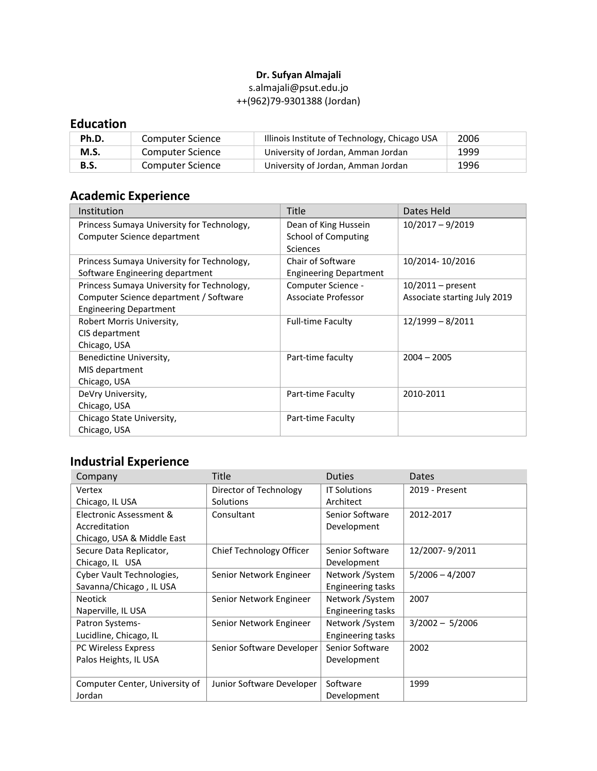### **Dr. Sufyan Almajali**

### [s.almajali@psut.edu.jo](mailto:s.almajali@psut.edu.jo) ++(962)79-9301388 (Jordan)

# **Education**

| Ph.D. | Computer Science | Illinois Institute of Technology, Chicago USA | 2006 |
|-------|------------------|-----------------------------------------------|------|
| M.S.  | Computer Science | University of Jordan, Amman Jordan            | 1999 |
| B.S.  | Computer Science | University of Jordan, Amman Jordan            | 1996 |

# **Academic Experience**

| Institution                                | <b>Title</b>                  | Dates Held                   |
|--------------------------------------------|-------------------------------|------------------------------|
| Princess Sumaya University for Technology, | Dean of King Hussein          | $10/2017 - 9/2019$           |
| Computer Science department                | School of Computing           |                              |
|                                            | <b>Sciences</b>               |                              |
| Princess Sumaya University for Technology, | Chair of Software             | 10/2014-10/2016              |
| Software Engineering department            | <b>Engineering Department</b> |                              |
| Princess Sumaya University for Technology, | Computer Science -            | $10/2011$ – present          |
| Computer Science department / Software     | Associate Professor           | Associate starting July 2019 |
| <b>Engineering Department</b>              |                               |                              |
| Robert Morris University,                  | <b>Full-time Faculty</b>      | $12/1999 - 8/2011$           |
| CIS department                             |                               |                              |
| Chicago, USA                               |                               |                              |
| Benedictine University,                    | Part-time faculty             | $2004 - 2005$                |
| MIS department                             |                               |                              |
| Chicago, USA                               |                               |                              |
| DeVry University,                          | Part-time Faculty             | 2010-2011                    |
| Chicago, USA                               |                               |                              |
| Chicago State University,                  | Part-time Faculty             |                              |
| Chicago, USA                               |                               |                              |

# **Industrial Experience**

| Company                        | Title                     | <b>Duties</b>            | Dates             |
|--------------------------------|---------------------------|--------------------------|-------------------|
| Vertex                         | Director of Technology    | <b>IT Solutions</b>      | 2019 - Present    |
| Chicago, IL USA                | Solutions                 | Architect                |                   |
| Electronic Assessment &        | Consultant                | Senior Software          | 2012-2017         |
| Accreditation                  |                           | Development              |                   |
| Chicago, USA & Middle East     |                           |                          |                   |
| Secure Data Replicator,        | Chief Technology Officer  | Senior Software          | 12/2007-9/2011    |
| Chicago, IL USA                |                           | Development              |                   |
| Cyber Vault Technologies,      | Senior Network Engineer   | Network / System         | $5/2006 - 4/2007$ |
| Savanna/Chicago, IL USA        |                           | Engineering tasks        |                   |
| <b>Neotick</b>                 | Senior Network Engineer   | Network / System         | 2007              |
| Naperville, IL USA             |                           | <b>Engineering tasks</b> |                   |
| Patron Systems-                | Senior Network Engineer   | Network / System         | $3/2002 - 5/2006$ |
| Lucidline, Chicago, IL         |                           | <b>Engineering tasks</b> |                   |
| PC Wireless Express            | Senior Software Developer | Senior Software          | 2002              |
| Palos Heights, IL USA          |                           | Development              |                   |
|                                |                           |                          |                   |
| Computer Center, University of | Junior Software Developer | Software                 | 1999              |
| Jordan                         |                           | Development              |                   |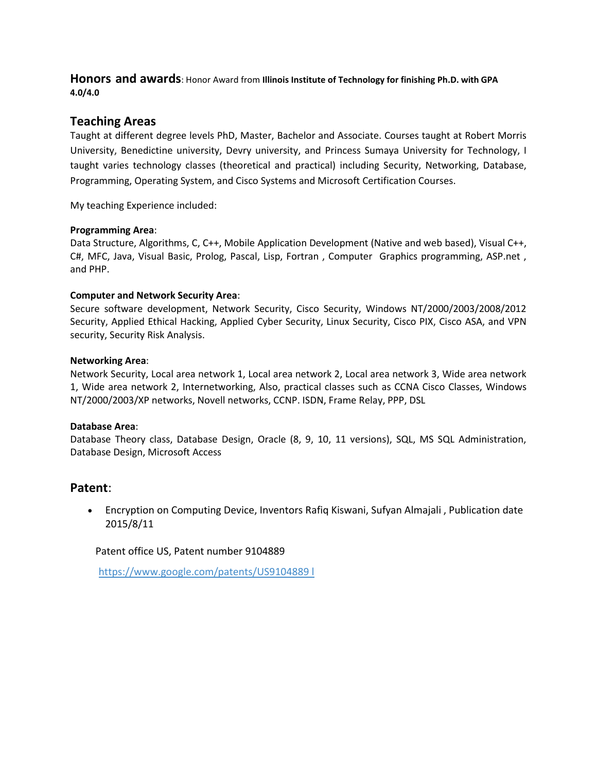**Honors and awards**: Honor Award from **Illinois Institute of Technology for finishing Ph.D. with GPA 4.0/4.0**

### **Teaching Areas**

Taught at different degree levels PhD, Master, Bachelor and Associate. Courses taught at Robert Morris University, Benedictine university, Devry university, and Princess Sumaya University for Technology, I taught varies technology classes (theoretical and practical) including Security, Networking, Database, Programming, Operating System, and Cisco Systems and Microsoft Certification Courses.

My teaching Experience included:

### **Programming Area**:

Data Structure, Algorithms, C, C++, Mobile Application Development (Native and web based), Visual C++, C#, MFC, Java, Visual Basic, Prolog, Pascal, Lisp, Fortran , Computer Graphics programming, ASP.net , and PHP.

### **Computer and Network Security Area**:

Secure software development, Network Security, Cisco Security, Windows NT/2000/2003/2008/2012 Security, Applied Ethical Hacking, Applied Cyber Security, Linux Security, Cisco PIX, Cisco ASA, and VPN security, Security Risk Analysis.

### **Networking Area**:

Network Security, Local area network 1, Local area network 2, Local area network 3, Wide area network 1, Wide area network 2, Internetworking, Also, practical classes such as CCNA Cisco Classes, Windows NT/2000/2003/XP networks, Novell networks, CCNP. ISDN, Frame Relay, PPP, DSL

#### **Database Area**:

Database Theory class, Database Design, Oracle (8, 9, 10, 11 versions), SQL, MS SQL Administration, Database Design, Microsoft Access

### **Patent**:

• Encryption on Computing Device, Inventors Rafiq Kiswani, Sufyan Almajali , Publication date 2015/8/11

### Patent office US, Patent number 9104889

[https://www.google.com/patents/US9104889 l](http://www.uspto.gov/web/patents/patog/week32/OG/html/1417-2/US09104889-20150811.html)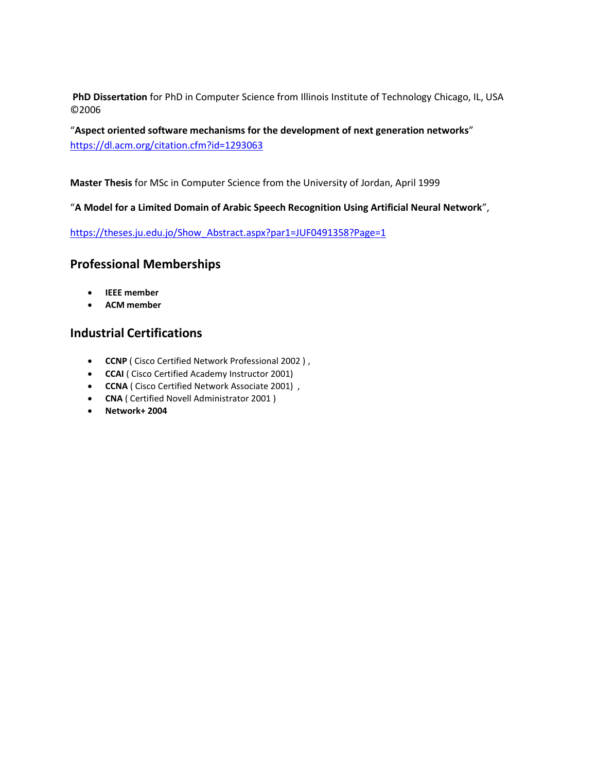**PhD Dissertation** for PhD in Computer Science from Illinois Institute of Technology Chicago, IL, USA ©2006

"**Aspect oriented software mechanisms for the development of next generation networks**" <https://dl.acm.org/citation.cfm?id=1293063>

**Master Thesis** for MSc in Computer Science from the University of Jordan, April 1999

"**A Model for a Limited Domain of Arabic Speech Recognition Using Artificial Neural Network**",

[https://theses.ju.edu.jo/Show\\_Abstract.aspx?par1=JUF0491358?Page=1](https://theses.ju.edu.jo/Show_Abstract.aspx?par1=JUF0491358%3FPage%3D1)

## **Professional Memberships**

- **IEEE member**
- **ACM member**

## **Industrial Certifications**

- **CCNP** ( Cisco Certified Network Professional 2002 ) ,
- **CCAI** ( Cisco Certified Academy Instructor 2001)
- **CCNA** ( Cisco Certified Network Associate 2001) ,
- **CNA** ( Certified Novell Administrator 2001 )
- **Network+ 2004**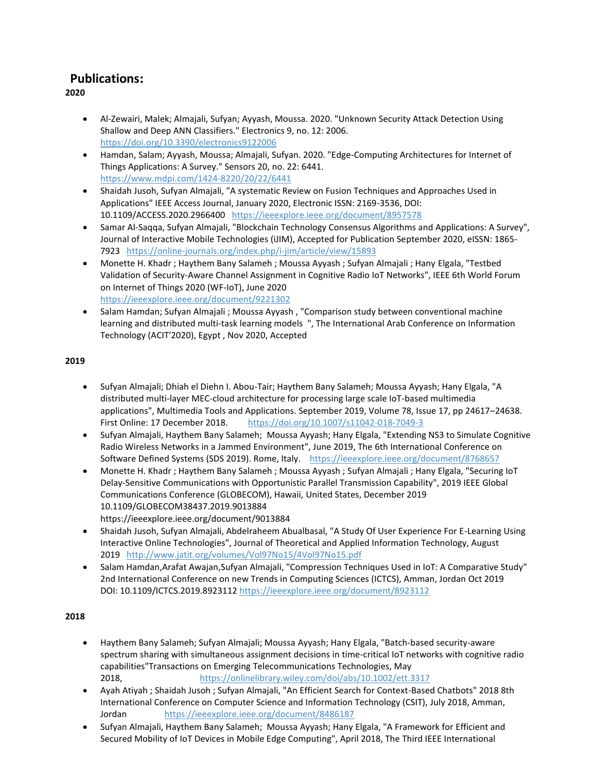## **Publications:**

**2020**

- Al-Zewairi, Malek; Almajali, Sufyan; Ayyash, Moussa. 2020. "Unknown Security Attack Detection Using Shallow and Deep ANN Classifiers." Electronics 9, no. 12: 2006. <https://doi.org/10.3390/electronics9122006>
- Hamdan, Salam; Ayyash, Moussa; Almajali, Sufyan. 2020. "Edge-Computing Architectures for Internet of Things Applications: A Survey." Sensors 20, no. 22: 6441. <https://www.mdpi.com/1424-8220/20/22/6441>
- Shaidah Jusoh, Sufyan Almajali, "A systematic Review on Fusion Techniques and Approaches Used in Applications" IEEE Access Journal, January 2020, Electronic ISSN: 2169-3536, DOI: 10.1109/ACCESS.2020.2966400 <https://ieeexplore.ieee.org/document/8957578>
- Samar Al-Saqqa, Sufyan Almajali, "Blockchain Technology Consensus Algorithms and Applications: A Survey", Journal of Interactive Mobile Technologies (iJIM), Accepted for Publication September 2020, eISSN: 1865-7923 <https://online-journals.org/index.php/i-jim/article/view/15893>
- Monette H. Khadr ; Haythem Bany Salameh ; Moussa Ayyash ; Sufyan Almajali ; Hany Elgala, "Testbed Validation of Security-Aware Channel Assignment in Cognitive Radio IoT Networks", IEEE 6th World Forum on Internet of Things 2020 (WF-IoT), June 2020 <https://ieeexplore.ieee.org/document/9221302>
- Salam Hamdan; Sufyan Almajali ; Moussa Ayyash , "Comparison study between conventional machine learning and distributed multi-task learning models ", The International Arab Conference on Information Technology (ACIT'2020), Egypt , Nov 2020, Accepted

### **2019**

- Sufyan Almajali; Dhiah el Diehn I. Abou-Tair; Haythem Bany Salameh; Moussa Ayyash; Hany Elgala, "A distributed multi-layer MEC-cloud architecture for processing large scale IoT-based multimedia applications", Multimedia Tools and Applications. September 2019, Volume 78, Issue 17, pp 24617–24638. First Online: 17 December 2018. <https://doi.org/10.1007/s11042-018-7049-3>
- Sufyan Almajali, Haythem Bany Salameh; Moussa Ayyash; Hany Elgala, "Extending NS3 to Simulate Cognitive Radio Wireless Networks in a Jammed Environment", June 2019, The 6th International Conference on Software Defined Systems (SDS 2019). Rome, Italy. <https://ieeexplore.ieee.org/document/8768657>
- Monette H. Khadr ; Haythem Bany Salameh ; Moussa Ayyash ; Sufyan Almajali ; Hany Elgala, "Securing IoT Delay-Sensitive Communications with Opportunistic Parallel Transmission Capability", 2019 IEEE Global Communications Conference (GLOBECOM), Hawaii, United States, December 2019 10.1109/GLOBECOM38437.2019.9013884
- https://ieeexplore.ieee.org/document/9013884
- Shaidah Jusoh, Sufyan Almajali, Abdelraheem Abualbasal, "A Study Of User Experience For E-Learning Using Interactive Online Technologies", Journal of Theoretical and Applied Information Technology, August 2019 <http://www.jatit.org/volumes/Vol97No15/4Vol97No15.pdf>
- Salam Hamdan,Arafat Awajan,Sufyan Almajali, "Compression Techniques Used in IoT: A Comparative Study" 2nd International Conference on new Trends in Computing Sciences (ICTCS), Amman, Jordan Oct 2019 DOI: 10.1109/ICTCS.2019.8923112 <https://ieeexplore.ieee.org/document/8923112>

### **2018**

- Haythem Bany Salameh; Sufyan Almajali; Moussa Ayyash; Hany Elgala, "Batch-based security-aware spectrum sharing with simultaneous assignment decisions in time-critical IoT networks with cognitive radio capabilities"Transactions on Emerging Telecommunications Technologies, May 2018, <https://onlinelibrary.wiley.com/doi/abs/10.1002/ett.3317>
- Ayah Atiyah ; Shaidah Jusoh ; Sufyan Almajali, "An Efficient Search for Context-Based Chatbots" 2018 8th International Conference on Computer Science and Information Technology (CSIT), July 2018, Amman, Jordan <https://ieeexplore.ieee.org/document/8486187>
- Sufyan Almajali, Haythem Bany Salameh; Moussa Ayyash; Hany Elgala, "A Framework for Efficient and Secured Mobility of IoT Devices in Mobile Edge Computing", April 2018, The Third IEEE International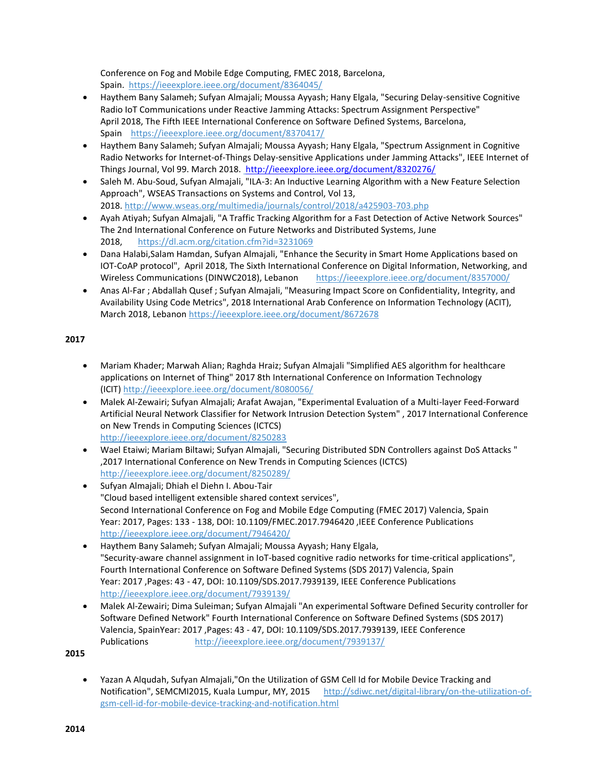Conference on Fog and Mobile Edge Computing, FMEC 2018, Barcelona, Spain. <https://ieeexplore.ieee.org/document/8364045/>

- Haythem Bany Salameh; Sufyan Almajali; Moussa Ayyash; Hany Elgala, "Securing Delay-sensitive Cognitive Radio IoT Communications under Reactive Jamming Attacks: Spectrum Assignment Perspective" April 2018, The Fifth IEEE International Conference on Software Defined Systems, Barcelona, Spain <https://ieeexplore.ieee.org/document/8370417/>
- Haythem Bany Salameh; Sufyan Almajali; Moussa Ayyash; Hany Elgala, "Spectrum Assignment in Cognitive Radio Networks for Internet-of-Things Delay-sensitive Applications under Jamming Attacks", IEEE Internet of Things Journal, Vol 99. March 2018. <http://ieeexplore.ieee.org/document/8320276/>
- Saleh M. Abu-Soud, Sufyan Almajali, "ILA-3: An Inductive Learning Algorithm with a New Feature Selection Approach", WSEAS Transactions on Systems and Control, Vol 13, 2018. <http://www.wseas.org/multimedia/journals/control/2018/a425903-703.php>
- Ayah Atiyah; Sufyan Almajali, "A Traffic Tracking Algorithm for a Fast Detection of Active Network Sources" The 2nd International Conference on Future Networks and Distributed Systems, June 2018, <https://dl.acm.org/citation.cfm?id=3231069>
- Dana Halabi,Salam Hamdan, Sufyan Almajali, "Enhance the Security in Smart Home Applications based on IOT-CoAP protocol", April 2018, The Sixth International Conference on Digital Information, Networking, and Wireless Communications (DINWC2018), Lebanon <https://ieeexplore.ieee.org/document/8357000/>
- Anas Al-Far ; Abdallah Qusef ; Sufyan Almajali, "Measuring Impact Score on Confidentiality, Integrity, and Availability Using Code Metrics", 2018 International Arab Conference on Information Technology (ACIT), March 2018, Lebanon <https://ieeexplore.ieee.org/document/8672678>

### **2017**

- Mariam Khader; Marwah Alian; Raghda Hraiz; Sufyan Almajali "Simplified AES algorithm for healthcare applications on Internet of Thing" 2017 8th International Conference on Information Technology (ICIT) <http://ieeexplore.ieee.org/document/8080056/>
- Malek Al-Zewairi; Sufyan Almajali; Arafat Awajan, "Experimental Evaluation of a Multi-layer Feed-Forward Artificial Neural Network Classifier for Network Intrusion Detection System" , 2017 International Conference on New Trends in Computing Sciences (ICTCS) <http://ieeexplore.ieee.org/document/8250283>
- Wael Etaiwi; Mariam Biltawi; Sufyan Almajali, "Securing Distributed SDN Controllers against DoS Attacks " ,2017 International Conference on New Trends in Computing Sciences (ICTCS) <http://ieeexplore.ieee.org/document/8250289/>
- Sufyan Almajali; Dhiah el Diehn I. Abou-Tair "Cloud based intelligent extensible shared context services", Second International Conference on Fog and Mobile Edge Computing (FMEC 2017) Valencia, Spain Year: 2017, Pages: 133 - 138, DOI: 10.1109/FMEC.2017.7946420 ,IEEE Conference Publications <http://ieeexplore.ieee.org/document/7946420/>
- Haythem Bany Salameh; Sufyan Almajali; Moussa Ayyash; Hany Elgala, "Security-aware channel assignment in IoT-based cognitive radio networks for time-critical applications", Fourth International Conference on Software Defined Systems (SDS 2017) Valencia, Spain Year: 2017 ,Pages: 43 - 47, DOI: 10.1109/SDS.2017.7939139, IEEE Conference Publications <http://ieeexplore.ieee.org/document/7939139/>
- Malek Al-Zewairi; Dima Suleiman; Sufyan Almajali "An experimental Software Defined Security controller for Software Defined Network" Fourth International Conference on Software Defined Systems (SDS 2017) Valencia, SpainYear: 2017 ,Pages: 43 - 47, DOI: 10.1109/SDS.2017.7939139, IEEE Conference Publications <http://ieeexplore.ieee.org/document/7939137/>

**2015**

• Yazan A Alqudah, Sufyan Almajali,"On the Utilization of GSM Cell Id for Mobile Device Tracking and Notification", SEMCMI2015, Kuala Lumpur, MY, 2015 [http://sdiwc.net/digital-library/on-the-utilization-of](http://sdiwc.net/digital-library/on-the-utilization-of-gsm-cell-id-for-mobile-device-tracking-and-notification.html)[gsm-cell-id-for-mobile-device-tracking-and-notification.html](http://sdiwc.net/digital-library/on-the-utilization-of-gsm-cell-id-for-mobile-device-tracking-and-notification.html)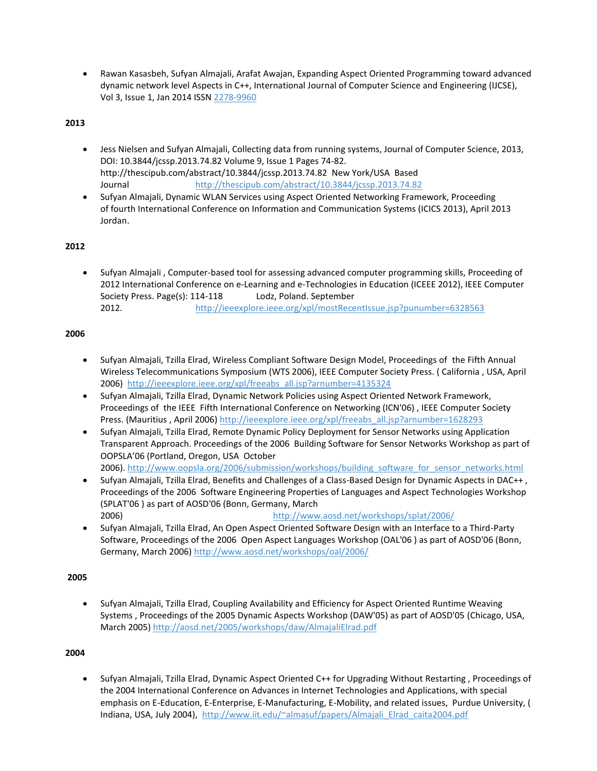• Rawan Kasasbeh, Sufyan Almajali, Arafat Awajan, Expanding Aspect Oriented Programming toward advanced dynamic network level Aspects in C++, International Journal of Computer Science and Engineering (IJCSE), Vol 3, Issue 1, Jan 2014 ISSN [2278-9960](tel:2278-9960)

#### **2013**

- Jess Nielsen and Sufyan Almajali, Collecting data from running systems, Journal of Computer Science, 2013, DOI: 10.3844/jcssp.2013.74.82 Volume 9, Issue 1 Pages 74-82. http://thescipub.com/abstract/10.3844/jcssp.2013.74.82 New York/USA Based Journal <http://thescipub.com/abstract/10.3844/jcssp.2013.74.82>
- Sufyan Almajali, Dynamic WLAN Services using Aspect Oriented Networking Framework, Proceeding of fourth International Conference on Information and Communication Systems (ICICS 2013), April 2013 Jordan.

### **2012**

• Sufyan Almajali , Computer-based tool for assessing advanced computer programming skills, Proceeding of 2012 International Conference on e-Learning and e-Technologies in Education (ICEEE 2012), IEEE Computer Society Press. Page(s): 114-118 Lodz, Poland. September 2012. <http://ieeexplore.ieee.org/xpl/mostRecentIssue.jsp?punumber=6328563>

#### **2006**

- Sufyan Almajali, Tzilla Elrad, Wireless Compliant Software Design Model, Proceedings of the Fifth Annual Wireless Telecommunications Symposium (WTS 2006), IEEE Computer Society Press. ( California , USA, April 2006) [http://ieeexplore.ieee.org/xpl/freeabs\\_all.jsp?arnumber=4135324](http://ieeexplore.ieee.org/xpl/freeabs_all.jsp?arnumber=4135324)
- Sufyan Almajali, Tzilla Elrad, Dynamic Network Policies using Aspect Oriented Network Framework, Proceedings of the IEEE Fifth International Conference on Networking (ICN'06) , IEEE Computer Society Press. (Mauritius , April 2006) [http://ieeexplore.ieee.org/xpl/freeabs\\_all.jsp?arnumber=1628293](http://ieeexplore.ieee.org/xpl/freeabs_all.jsp?arnumber=1628293)
- Sufyan Almajali, Tzilla Elrad, Remote Dynamic Policy Deployment for Sensor Networks using Application Transparent Approach. Proceedings of the 2006 Building Software for Sensor Networks Workshop as part of OOPSLA'06 (Portland, Oregon, USA October 2006). [http://www.oopsla.org/2006/submission/workshops/building\\_software\\_for\\_sensor\\_networks.html](http://www.oopsla.org/2006/submission/workshops/building_software_for_sensor_networks.html)
- Sufyan Almajali, Tzilla Elrad, Benefits and Challenges of a Class-Based Design for Dynamic Aspects in DAC++ , Proceedings of the 2006 Software Engineering Properties of Languages and Aspect Technologies Workshop (SPLAT'06 ) as part of AOSD'06 (Bonn, Germany, March 2006) <http://www.aosd.net/workshops/splat/2006/>
- Sufyan Almajali, Tzilla Elrad, An Open Aspect Oriented Software Design with an Interface to a Third-Party Software, Proceedings of the 2006 Open Aspect Languages Workshop (OAL'06 ) as part of AOSD'06 (Bonn, Germany, March 2006) <http://www.aosd.net/workshops/oal/2006/>

#### **2005**

• Sufyan Almajali, Tzilla Elrad, Coupling Availability and Efficiency for Aspect Oriented Runtime Weaving Systems , Proceedings of the 2005 Dynamic Aspects Workshop (DAW'05) as part of AOSD'05 (Chicago, USA, March 2005) <http://aosd.net/2005/workshops/daw/AlmajaliElrad.pdf>

#### **2004**

• Sufyan Almajali, Tzilla Elrad, Dynamic Aspect Oriented C++ for Upgrading Without Restarting , Proceedings of the 2004 International Conference on Advances in Internet Technologies and Applications, with special emphasis on E-Education, E-Enterprise, E-Manufacturing, E-Mobility, and related issues, Purdue University, ( Indiana, USA, July 2004), [http://www.iit.edu/~almasuf/papers/Almajali\\_Elrad\\_caita2004.pdf](http://www.iit.edu/~almasuf/papers/Almajali_Elrad_caita2004.pdf)